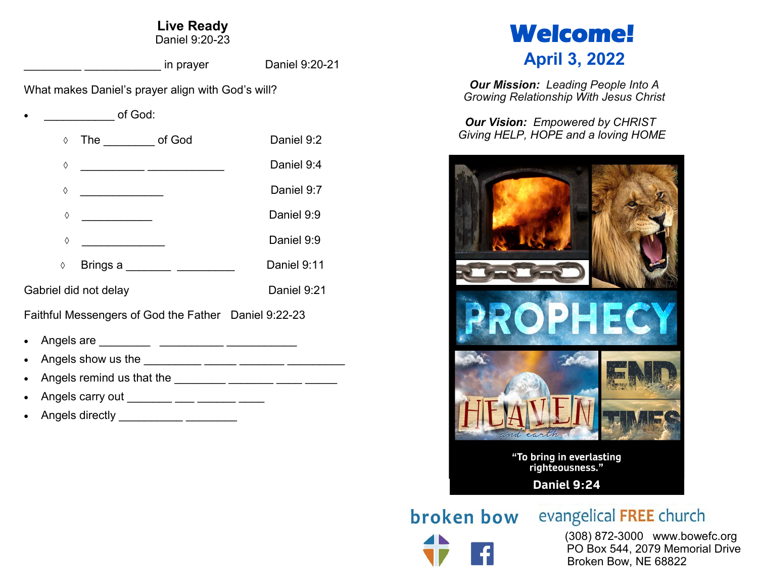# **Live Ready**

Daniel 9:20-23

\_\_\_\_\_\_\_\_\_ \_\_\_\_\_\_\_\_\_\_\_\_ in prayer Daniel 9:20-21

What makes Daniel's prayer align with God's will?

of God:

| $\Diamond$ | The of God                              |                               | Daniel 9:2  |
|------------|-----------------------------------------|-------------------------------|-------------|
| ♦          |                                         |                               | Daniel 9:4  |
| ♦          | <u> 1990 - Johann Barbara, martin a</u> |                               | Daniel 9:7  |
| ♦          |                                         |                               | Daniel 9:9  |
| ♦          |                                         |                               | Daniel 9:9  |
| $\Diamond$ |                                         | Brings a _________ __________ | Daniel 9:11 |
|            | Gabriel did not delay                   |                               | Daniel 9:21 |

Faithful Messengers of God the Father Daniel 9:22-23

- Angels are \_\_\_\_\_\_\_\_ \_\_\_\_\_\_\_\_\_\_ \_\_\_\_\_\_\_\_\_\_\_
- Angels show us the \_\_\_\_\_\_\_\_\_ \_\_\_\_\_ \_\_\_\_\_\_\_ \_\_\_\_\_\_\_\_\_
- Angels remind us that the \_\_\_\_\_\_\_\_ \_\_\_\_\_\_ \_\_\_\_\_ \_\_\_\_\_ \_\_\_\_\_
- Angels carry out \_\_\_\_\_\_\_ \_\_\_ \_\_\_\_ \_\_\_\_\_ \_\_\_\_
- Angels directly \_\_\_\_\_\_\_\_\_\_ \_\_\_\_\_\_\_\_



*Our Mission: Leading People Into A Growing Relationship With Jesus Christ*

*Our Vision: Empowered by CHRIST Giving HELP, HOPE and a loving HOME*



**broken bow** evangelical FREE church

 (308) 872-3000 www.bowefc.org PO Box 544, 2079 Memorial Drive Broken Bow, NE 68822